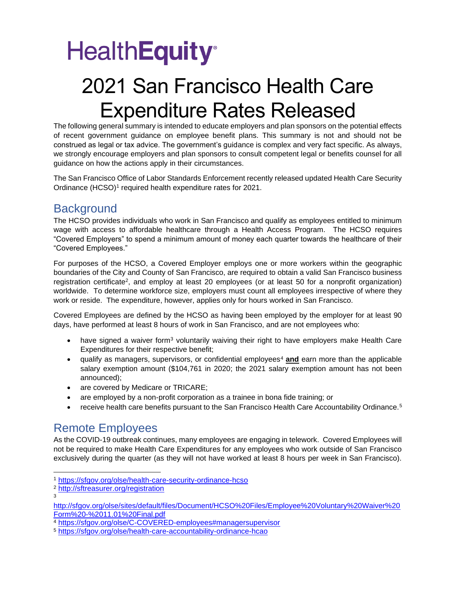# **HealthEquity®**

## 2021 San Francisco Health Care Expenditure Rates Released

The following general summary is intended to educate employers and plan sponsors on the potential effects of recent government guidance on employee benefit plans. This summary is not and should not be construed as legal or tax advice. The government's guidance is complex and very fact specific. As always, we strongly encourage employers and plan sponsors to consult competent legal or benefits counsel for all guidance on how the actions apply in their circumstances.

The San Francisco Office of Labor Standards Enforcement recently released updated Health Care Security Ordinance (HCSO)<sup>1</sup> required health expenditure rates for 2021.

### **Background**

The HCSO provides individuals who work in San Francisco and qualify as employees entitled to minimum wage with access to affordable healthcare through a Health Access Program. The HCSO requires "Covered Employers" to spend a minimum amount of money each quarter towards the healthcare of their "Covered Employees."

For purposes of the HCSO, a Covered Employer employs one or more workers within the geographic boundaries of the City and County of San Francisco, are required to obtain a valid San Francisco business registration certificate<sup>2</sup>, and employ at least 20 employees (or at least 50 for a nonprofit organization) worldwide. To determine workforce size, employers must count all employees irrespective of where they work or reside. The expenditure, however, applies only for hours worked in San Francisco.

Covered Employees are defined by the HCSO as having been employed by the employer for at least 90 days, have performed at least 8 hours of work in San Francisco, and are not employees who:

- have signed a waiver form<sup>3</sup> voluntarily waiving their right to have employers make Health Care Expenditures for their respective benefit;
- qualify as managers, supervisors, or confidential employees<sup>4</sup> and earn more than the applicable salary exemption amount (\$104,761 in 2020; the 2021 salary exemption amount has not been announced);
- are covered by Medicare or TRICARE;
- are employed by a non-profit corporation as a trainee in bona fide training; or
- receive health care benefits pursuant to the San Francisco Health Care Accountability Ordinance.<sup>5</sup>

#### Remote Employees

As the COVID-19 outbreak continues, many employees are engaging in telework. Covered Employees will not be required to make Health Care Expenditures for any employees who work outside of San Francisco exclusively during the quarter (as they will not have worked at least 8 hours per week in San Francisco).

3

<sup>1</sup> <https://sfgov.org/olse/health-care-security-ordinance-hcso>

<sup>2</sup> <http://sftreasurer.org/registration>

[http://sfgov.org/olse/sites/default/files/Document/HCSO%20Files/Employee%20Voluntary%20Waiver%20](http://sfgov.org/olse/sites/default/files/Document/HCSO%20Files/Employee%20Voluntary%20Waiver%20Form%20-%2011.01%20Final.pdf) [Form%20-%2011.01%20Final.pdf](http://sfgov.org/olse/sites/default/files/Document/HCSO%20Files/Employee%20Voluntary%20Waiver%20Form%20-%2011.01%20Final.pdf)

<sup>4</sup> <https://sfgov.org/olse/C-COVERED-employees#managersupervisor>

<sup>5</sup> <https://sfgov.org/olse/health-care-accountability-ordinance-hcao>